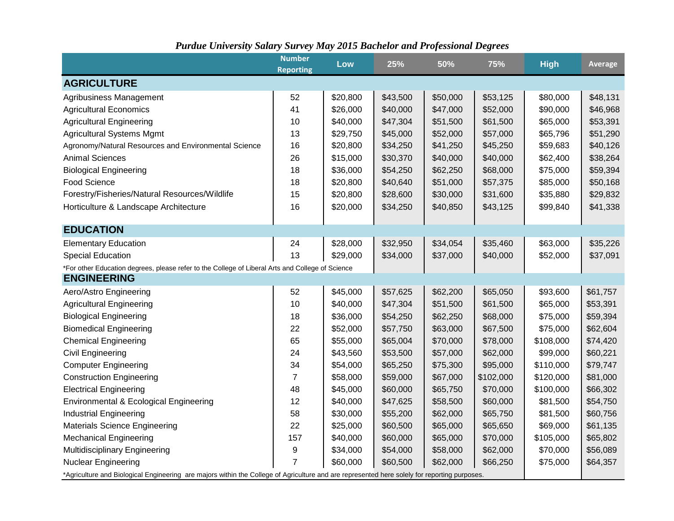|                                                                                                                                              | <b>Number</b><br><b>Reporting</b> | Low      | 25%      | 50%      | 75%       | <b>High</b> | Average  |  |
|----------------------------------------------------------------------------------------------------------------------------------------------|-----------------------------------|----------|----------|----------|-----------|-------------|----------|--|
| <b>AGRICULTURE</b>                                                                                                                           |                                   |          |          |          |           |             |          |  |
| Agribusiness Management                                                                                                                      | 52                                | \$20,800 | \$43,500 | \$50,000 | \$53,125  | \$80,000    | \$48,131 |  |
| <b>Agricultural Economics</b>                                                                                                                | 41                                | \$26,000 | \$40,000 | \$47,000 | \$52,000  | \$90,000    | \$46,968 |  |
| <b>Agricultural Engineering</b>                                                                                                              | 10                                | \$40,000 | \$47,304 | \$51,500 | \$61,500  | \$65,000    | \$53,391 |  |
| <b>Agricultural Systems Mgmt</b>                                                                                                             | 13                                | \$29,750 | \$45,000 | \$52,000 | \$57,000  | \$65,796    | \$51,290 |  |
| Agronomy/Natural Resources and Environmental Science                                                                                         | 16                                | \$20,800 | \$34,250 | \$41,250 | \$45,250  | \$59,683    | \$40,126 |  |
| <b>Animal Sciences</b>                                                                                                                       | 26                                | \$15,000 | \$30,370 | \$40,000 | \$40,000  | \$62,400    | \$38,264 |  |
| <b>Biological Engineering</b>                                                                                                                | 18                                | \$36,000 | \$54,250 | \$62,250 | \$68,000  | \$75,000    | \$59,394 |  |
| Food Science                                                                                                                                 | 18                                | \$20,800 | \$40,640 | \$51,000 | \$57,375  | \$85,000    | \$50,168 |  |
| Forestry/Fisheries/Natural Resources/Wildlife                                                                                                | 15                                | \$20,800 | \$28,600 | \$30,000 | \$31,600  | \$35,880    | \$29,832 |  |
| Horticulture & Landscape Architecture                                                                                                        | 16                                | \$20,000 | \$34,250 | \$40,850 | \$43,125  | \$99,840    | \$41,338 |  |
| <b>EDUCATION</b>                                                                                                                             |                                   |          |          |          |           |             |          |  |
| <b>Elementary Education</b>                                                                                                                  | 24                                | \$28,000 | \$32,950 | \$34,054 | \$35,460  | \$63,000    | \$35,226 |  |
| <b>Special Education</b>                                                                                                                     | 13                                | \$29,000 | \$34,000 | \$37,000 | \$40,000  | \$52,000    | \$37,091 |  |
| *For other Education degrees, please refer to the College of Liberal Arts and College of Science                                             |                                   |          |          |          |           |             |          |  |
| <b>ENGINEERING</b>                                                                                                                           |                                   |          |          |          |           |             |          |  |
| Aero/Astro Engineering                                                                                                                       | 52                                | \$45,000 | \$57,625 | \$62,200 | \$65,050  | \$93,600    | \$61,757 |  |
| <b>Agricultural Engineering</b>                                                                                                              | 10                                | \$40,000 | \$47,304 | \$51,500 | \$61,500  | \$65,000    | \$53,391 |  |
| <b>Biological Engineering</b>                                                                                                                | 18                                | \$36,000 | \$54,250 | \$62,250 | \$68,000  | \$75,000    | \$59,394 |  |
| <b>Biomedical Engineering</b>                                                                                                                | 22                                | \$52,000 | \$57,750 | \$63,000 | \$67,500  | \$75,000    | \$62,604 |  |
| <b>Chemical Engineering</b>                                                                                                                  | 65                                | \$55,000 | \$65,004 | \$70,000 | \$78,000  | \$108,000   | \$74,420 |  |
| Civil Engineering                                                                                                                            | 24                                | \$43,560 | \$53,500 | \$57,000 | \$62,000  | \$99,000    | \$60,221 |  |
| <b>Computer Engineering</b>                                                                                                                  | 34                                | \$54,000 | \$65,250 | \$75,300 | \$95,000  | \$110,000   | \$79,747 |  |
| <b>Construction Engineering</b>                                                                                                              | 7                                 | \$58,000 | \$59,000 | \$67,000 | \$102,000 | \$120,000   | \$81,000 |  |
| <b>Electrical Engineering</b>                                                                                                                | 48                                | \$45,000 | \$60,000 | \$65,750 | \$70,000  | \$100,000   | \$66,302 |  |
| Environmental & Ecological Engineering                                                                                                       | 12                                | \$40,000 | \$47,625 | \$58,500 | \$60,000  | \$81,500    | \$54,750 |  |
| <b>Industrial Engineering</b>                                                                                                                | 58                                | \$30,000 | \$55,200 | \$62,000 | \$65,750  | \$81,500    | \$60,756 |  |
| <b>Materials Science Engineering</b>                                                                                                         | 22                                | \$25,000 | \$60,500 | \$65,000 | \$65,650  | \$69,000    | \$61,135 |  |
| <b>Mechanical Engineering</b>                                                                                                                | 157                               | \$40,000 | \$60,000 | \$65,000 | \$70,000  | \$105,000   | \$65,802 |  |
| <b>Multidisciplinary Engineering</b>                                                                                                         | 9                                 | \$34,000 | \$54,000 | \$58,000 | \$62,000  | \$70,000    | \$56,089 |  |
| Nuclear Engineering                                                                                                                          | $\overline{7}$                    | \$60,000 | \$60,500 | \$62,000 | \$66,250  | \$75,000    | \$64,357 |  |
| *Agriculture and Biological Engineering are majors within the College of Agriculture and are represented here solely for reporting purposes. |                                   |          |          |          |           |             |          |  |

## *Purdue University Salary Survey May 2015 Bachelor and Professional Degrees*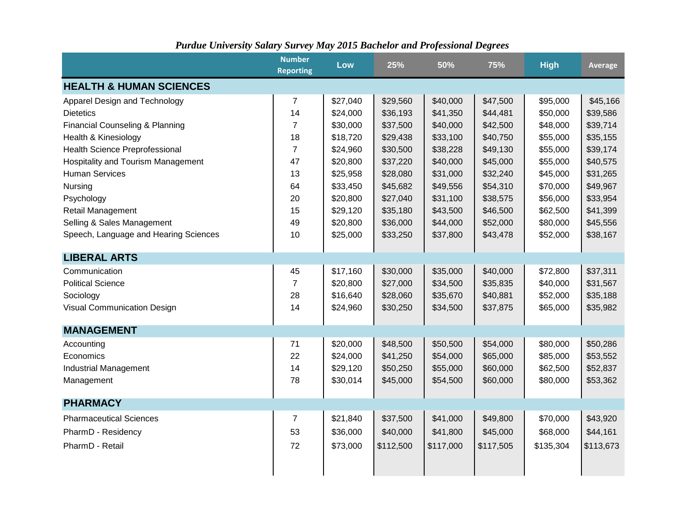|  |  |  |  | <b>Purdue University Salary Survey May 2015 Bachelor and Professional Degrees</b> |  |
|--|--|--|--|-----------------------------------------------------------------------------------|--|
|  |  |  |  |                                                                                   |  |

|                                           | <b>Number</b><br><b>Reporting</b> | Low      | 25%       | 50%       | 75%       | <b>High</b> | <b>Average</b> |
|-------------------------------------------|-----------------------------------|----------|-----------|-----------|-----------|-------------|----------------|
| <b>HEALTH &amp; HUMAN SCIENCES</b>        |                                   |          |           |           |           |             |                |
| Apparel Design and Technology             | 7                                 | \$27,040 | \$29,560  | \$40,000  | \$47,500  | \$95,000    | \$45,166       |
| <b>Dietetics</b>                          | 14                                | \$24,000 | \$36,193  | \$41,350  | \$44,481  | \$50,000    | \$39,586       |
| Financial Counseling & Planning           | $\overline{7}$                    | \$30,000 | \$37,500  | \$40,000  | \$42,500  | \$48,000    | \$39,714       |
| Health & Kinesiology                      | 18                                | \$18,720 | \$29,438  | \$33,100  | \$40,750  | \$55,000    | \$35,155       |
| Health Science Preprofessional            | $\overline{7}$                    | \$24,960 | \$30,500  | \$38,228  | \$49,130  | \$55,000    | \$39,174       |
| <b>Hospitality and Tourism Management</b> | 47                                | \$20,800 | \$37,220  | \$40,000  | \$45,000  | \$55,000    | \$40,575       |
| <b>Human Services</b>                     | 13                                | \$25,958 | \$28,080  | \$31,000  | \$32,240  | \$45,000    | \$31,265       |
| Nursing                                   | 64                                | \$33,450 | \$45,682  | \$49,556  | \$54,310  | \$70,000    | \$49,967       |
| Psychology                                | 20                                | \$20,800 | \$27,040  | \$31,100  | \$38,575  | \$56,000    | \$33,954       |
| Retail Management                         | 15                                | \$29,120 | \$35,180  | \$43,500  | \$46,500  | \$62,500    | \$41,399       |
| Selling & Sales Management                | 49                                | \$20,800 | \$36,000  | \$44,000  | \$52,000  | \$80,000    | \$45,556       |
| Speech, Language and Hearing Sciences     | 10                                | \$25,000 | \$33,250  | \$37,800  | \$43,478  | \$52,000    | \$38,167       |
| <b>LIBERAL ARTS</b>                       |                                   |          |           |           |           |             |                |
| Communication                             | 45                                | \$17,160 | \$30,000  | \$35,000  | \$40,000  | \$72,800    | \$37,311       |
| <b>Political Science</b>                  | $\overline{7}$                    | \$20,800 | \$27,000  | \$34,500  | \$35,835  | \$40,000    | \$31,567       |
| Sociology                                 | 28                                | \$16,640 | \$28,060  | \$35,670  | \$40,881  | \$52,000    | \$35,188       |
| Visual Communication Design               | 14                                | \$24,960 | \$30,250  | \$34,500  | \$37,875  | \$65,000    | \$35,982       |
| <b>MANAGEMENT</b>                         |                                   |          |           |           |           |             |                |
| Accounting                                | 71                                | \$20,000 | \$48,500  | \$50,500  | \$54,000  | \$80,000    | \$50,286       |
| Economics                                 | 22                                | \$24,000 | \$41,250  | \$54,000  | \$65,000  | \$85,000    | \$53,552       |
| <b>Industrial Management</b>              | 14                                | \$29,120 | \$50,250  | \$55,000  | \$60,000  | \$62,500    | \$52,837       |
| Management                                | 78                                | \$30,014 | \$45,000  | \$54,500  | \$60,000  | \$80,000    | \$53,362       |
| <b>PHARMACY</b>                           |                                   |          |           |           |           |             |                |
| <b>Pharmaceutical Sciences</b>            | $\overline{7}$                    | \$21,840 | \$37,500  | \$41,000  | \$49,800  | \$70,000    | \$43,920       |
| PharmD - Residency                        | 53                                | \$36,000 | \$40,000  | \$41,800  | \$45,000  | \$68,000    | \$44,161       |
| PharmD - Retail                           | 72                                | \$73,000 | \$112,500 | \$117,000 | \$117,505 | \$135,304   | \$113,673      |
|                                           |                                   |          |           |           |           |             |                |